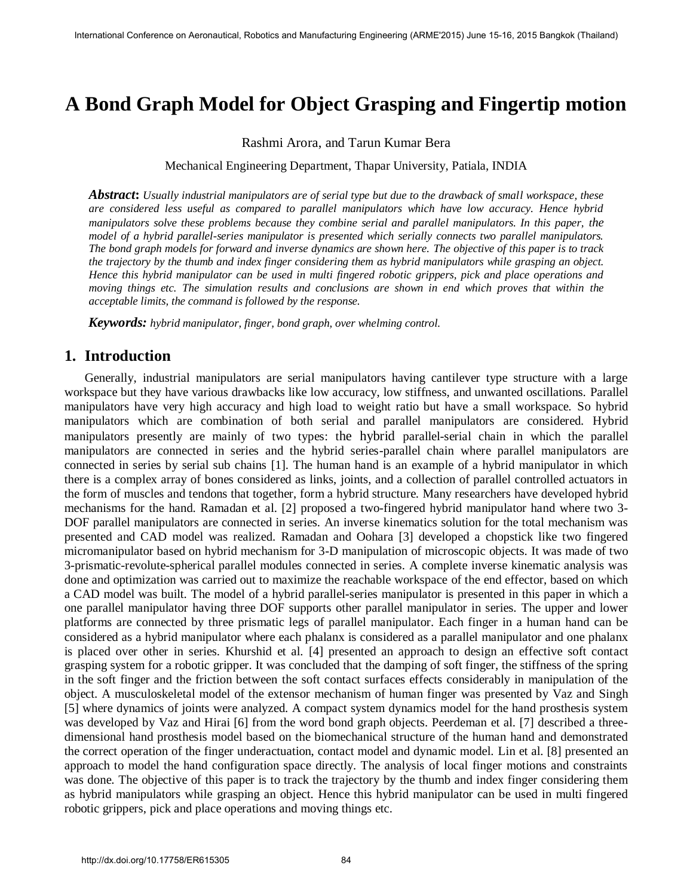# **A Bond Graph Model for Object Grasping and Fingertip motion**

Rashmi Arora, and Tarun Kumar Bera

Mechanical Engineering Department, Thapar University, Patiala, INDIA

*Abstract***:** *Usually industrial manipulators are of serial type but due to the drawback of small workspace, these are considered less useful as compared to parallel manipulators which have low accuracy. Hence hybrid manipulators solve these problems because they combine serial and parallel manipulators. In this paper, the model of a hybrid parallel-series manipulator is presented which serially connects two parallel manipulators. The bond graph models for forward and inverse dynamics are shown here. The objective of this paper is to track the trajectory by the thumb and index finger considering them as hybrid manipulators while grasping an object. Hence this hybrid manipulator can be used in multi fingered robotic grippers, pick and place operations and moving things etc. The simulation results and conclusions are shown in end which proves that within the acceptable limits, the command is followed by the response.*

*Keywords: hybrid manipulator, finger, bond graph, over whelming control.*

### **1. Introduction**

Generally, industrial manipulators are serial manipulators having cantilever type structure with a large workspace but they have various drawbacks like low accuracy, low stiffness, and unwanted oscillations. Parallel manipulators have very high accuracy and high load to weight ratio but have a small workspace. So hybrid manipulators which are combination of both serial and parallel manipulators are considered. Hybrid manipulators presently are mainly of two types: the hybrid parallel-serial chain in which the parallel manipulators are connected in series and the hybrid series-parallel chain where parallel manipulators are connected in series by serial sub chains [1]. The human hand is an example of a hybrid manipulator in which there is a complex array of bones considered as links, joints, and a collection of parallel controlled actuators in the form of muscles and tendons that together, form a hybrid structure. Many researchers have developed hybrid mechanisms for the hand. Ramadan et al. [2] proposed a two-fingered hybrid manipulator hand where two 3- DOF parallel manipulators are connected in series. An inverse kinematics solution for the total mechanism was presented and CAD model was realized. Ramadan and Oohara [3] developed a chopstick like two fingered micromanipulator based on hybrid mechanism for 3-D manipulation of microscopic objects. It was made of two 3-prismatic-revolute-spherical parallel modules connected in series. A complete inverse kinematic analysis was done and optimization was carried out to maximize the reachable workspace of the end effector, based on which a CAD model was built. The model of a hybrid parallel-series manipulator is presented in this paper in which a one parallel manipulator having three DOF supports other parallel manipulator in series. The upper and lower platforms are connected by three prismatic legs of parallel manipulator. Each finger in a human hand can be considered as a hybrid manipulator where each phalanx is considered as a parallel manipulator and one phalanx is placed over other in series. Khurshid et al. [4] presented an approach to design an effective soft contact grasping system for a robotic gripper. It was concluded that the damping of soft finger, the stiffness of the spring in the soft finger and the friction between the soft contact surfaces effects considerably in manipulation of the object. A musculoskeletal model of the extensor mechanism of human finger was presented by Vaz and Singh [5] where dynamics of joints were analyzed. A compact system dynamics model for the hand prosthesis system was developed by Vaz and Hirai [6] from the word bond graph objects. Peerdeman et al. [7] described a threedimensional hand prosthesis model based on the biomechanical structure of the human hand and demonstrated the correct operation of the finger underactuation, contact model and dynamic model. Lin et al. [8] presented an approach to model the hand configuration space directly. The analysis of local finger motions and constraints was done. The objective of this paper is to track the trajectory by the thumb and index finger considering them as hybrid manipulators while grasping an object. Hence this hybrid manipulator can be used in multi fingered robotic grippers, pick and place operations and moving things etc.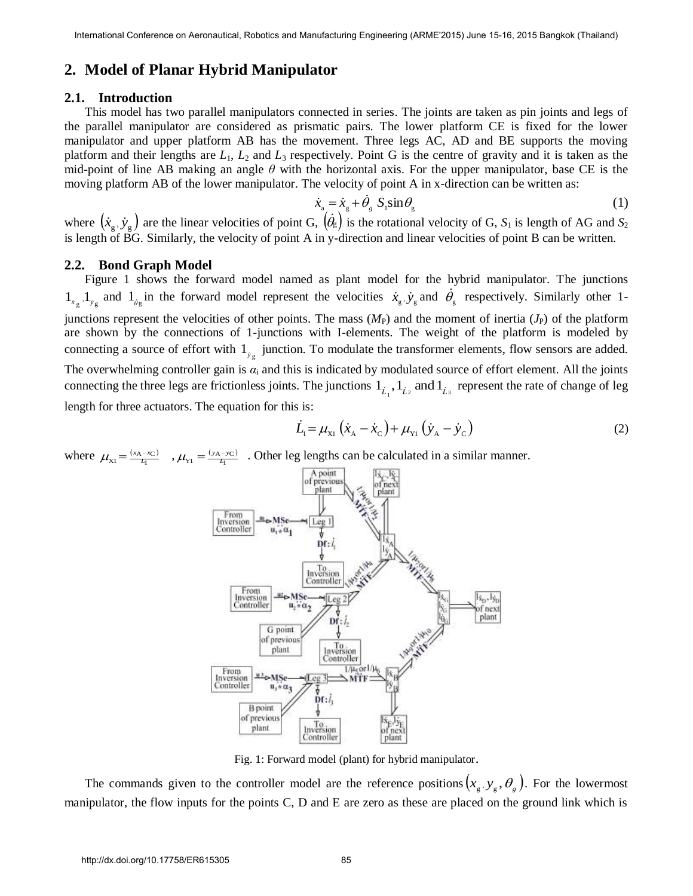# **2. Model of Planar Hybrid Manipulator**

#### **2.1. Introduction**

This model has two parallel manipulators connected in series. The joints are taken as pin joints and legs of the parallel manipulator are considered as prismatic pairs. The lower platform CE is fixed for the lower manipulator and upper platform AB has the movement. Three legs AC, AD and BE supports the moving platform and their lengths are *L*1, *L*2 and *L*3 respectively. Point G is the centre of gravity and it is taken as the mid-point of line AB making an angle *θ* with the horizontal axis. For the upper manipulator, base CE is the moving platform AB of the lower manipulator. The velocity of point A in x-direction can be written as:

$$
\dot{x}_{a} = \dot{x}_{g} + \dot{\theta}_{g} S_{1} \sin \theta_{g}
$$
\n(1)

where  $(x_g, y_g)$  are the linear velocities of point G,  $(\dot{\theta}_g)$  is the rotational velocity of G,  $S_1$  is length of AG and  $S_2$ is length of BG. Similarly, the velocity of point A in y-direction and linear velocities of point B can be written.

#### **2.2. Bond Graph Model**

Figure 1 shows the forward model named as plant model for the hybrid manipulator. The junctions  $1_{x_g}$ ,  $1_{y_g}$  and  $1_{\theta_g}$  in the forward model represent the velocities  $\dot{x}_g$ ,  $\dot{y}_g$  and  $\dot{\theta}_g$  respectively. Similarly other 1junctions represent the velocities of other points. The mass  $(M<sub>P</sub>)$  and the moment of inertia  $(J<sub>P</sub>)$  of the platform are shown by the connections of 1-junctions with I-elements. The weight of the platform is modeled by connecting a source of effort with  $1_{y_g}$  junction. To modulate the transformer elements, flow sensors are added. The overwhelming controller gain is  $\alpha_i$  and this is indicated by modulated source of effort element. All the joints connecting the three legs are frictionless joints. The junctions  $1_{\dot{L}_1}$ ,  $1_{\dot{L}_2}$  and  $1_{\dot{L}_3}$  represent the rate of change of leg

length for three actuators. The equation for this is:

s is:  
\n
$$
\dot{L}_1 = \mu_{x1} (\dot{x}_A - \dot{x}_C) + \mu_{y1} (\dot{y}_A - \dot{y}_C)
$$
 (2)

where  $\mu_{xi} = \frac{(x_A - x_C)}{L_i}$ ,  $\mu_{yi} = \frac{(y_A - y_C)}{L_i}$ . Other leg lengths can be calculated in a similar manner.



Fig. 1: Forward model (plant) for hybrid manipulator.

The commands given to the controller model are the reference positions  $(x_g, y_g, \theta_g)$ . For the lowermost manipulator, the flow inputs for the points C, D and E are zero as these are placed on the ground link which is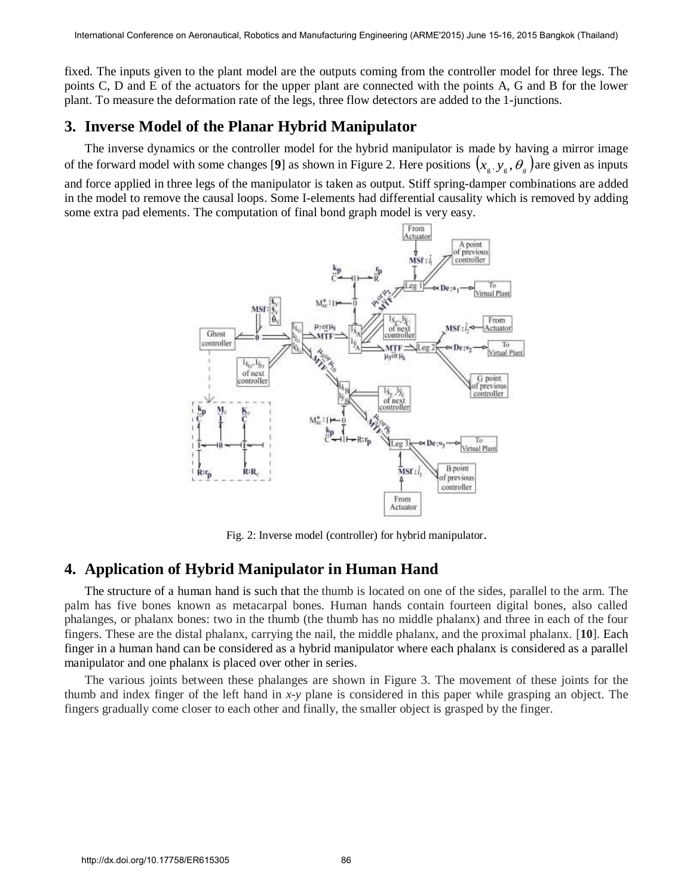fixed. The inputs given to the plant model are the outputs coming from the controller model for three legs. The points C, D and E of the actuators for the upper plant are connected with the points A, G and B for the lower plant. To measure the deformation rate of the legs, three flow detectors are added to the 1-junctions.

# **3. Inverse Model of the Planar Hybrid Manipulator**

The inverse dynamics or the controller model for the hybrid manipulator is made by having a mirror image of the forward model with some changes [9] as shown in Figure 2. Here positions  $(x_g, y_g, \theta_g)$  are given as inputs and force applied in three legs of the manipulator is taken as output. Stiff spring-damper combinations are added in the model to remove the causal loops. Some I-elements had differential causality which is removed by adding some extra pad elements. The computation of final bond graph model is very easy.



Fig. 2: Inverse model (controller) for hybrid manipulator.

# **4. Application of Hybrid Manipulator in Human Hand**

The structure of a human hand is such that the thumb is located on one of the sides, parallel to the arm. The palm has five bones known as metacarpal bones. Human hands contain fourteen digital bones, also called phalanges, or phalanx bones: two in the thumb (the thumb has no middle phalanx) and three in each of the four fingers. These are the distal phalanx, carrying the nail, the middle phalanx, and the proximal phalanx. [**10**]. Each finger in a human hand can be considered as a hybrid manipulator where each phalanx is considered as a parallel manipulator and one phalanx is placed over other in series.

The various joints between these phalanges are shown in Figure 3. The movement of these joints for the thumb and index finger of the left hand in *x-y* plane is considered in this paper while grasping an object. The fingers gradually come closer to each other and finally, the smaller object is grasped by the finger.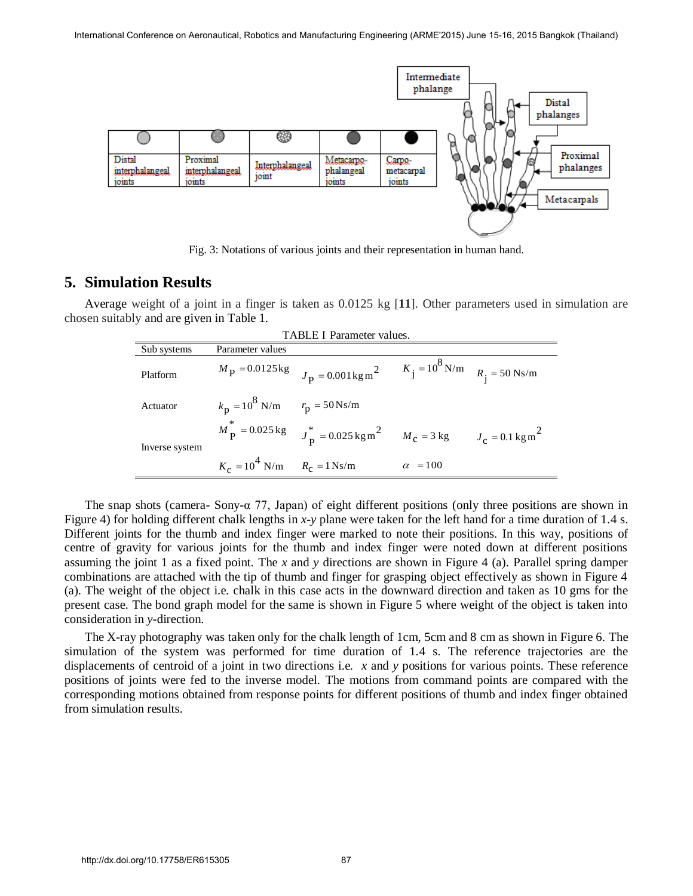

Fig. 3: Notations of various joints and their representation in human hand.

### **5. Simulation Results**

Average weight of a joint in a finger is taken as 0.0125 kg [**11**]. Other parameters used in simulation are chosen suitably and are given in Table 1.

| <b>TABLE I Parameter values.</b> |                                              |                                                                                                                               |                |  |  |  |  |
|----------------------------------|----------------------------------------------|-------------------------------------------------------------------------------------------------------------------------------|----------------|--|--|--|--|
| Sub systems                      | Parameter values                             |                                                                                                                               |                |  |  |  |  |
| Platform                         |                                              | $M_{\rm P} = 0.0125 \text{kg}$ $J_{\rm P} = 0.001 \text{kg m}^2$ $K_{\rm j} = 10^8 \text{ N/m}$ $R_{\rm i} = 50 \text{ Ns/m}$ |                |  |  |  |  |
| Actuator                         | $k_{\rm p} = 10^8$ N/m $r_{\rm p} = 50$ Ns/m |                                                                                                                               |                |  |  |  |  |
| Inverse system                   |                                              | $M_{\rm P}^{*}$ = 0.025 kg $J_{\rm P}^{*}$ = 0.025 kg m <sup>2</sup> $M_{\rm C}$ = 3 kg $J_{\rm C}$ = 0.1 kg m <sup>2</sup>   |                |  |  |  |  |
|                                  | $K_c = 10^4$ N/m $R_c = 1$ Ns/m              |                                                                                                                               | $\alpha$ = 100 |  |  |  |  |

The snap shots (camera- Sony- $\alpha$  77, Japan) of eight different positions (only three positions are shown in Figure 4) for holding different chalk lengths in *x-y* plane were taken for the left hand for a time duration of 1.4 s. Different joints for the thumb and index finger were marked to note their positions. In this way, positions of centre of gravity for various joints for the thumb and index finger were noted down at different positions assuming the joint 1 as a fixed point. The *x* and *y* directions are shown in Figure 4 (a). Parallel spring damper combinations are attached with the tip of thumb and finger for grasping object effectively as shown in Figure 4 (a). The weight of the object i.e. chalk in this case acts in the downward direction and taken as 10 gms for the present case. The bond graph model for the same is shown in Figure 5 where weight of the object is taken into consideration in *y*-direction.

The X-ray photography was taken only for the chalk length of 1cm, 5cm and 8 cm as shown in Figure 6. The simulation of the system was performed for time duration of 1.4 s. The reference trajectories are the displacements of centroid of a joint in two directions i.e. *x* and *y* positions for various points. These reference positions of joints were fed to the inverse model. The motions from command points are compared with the corresponding motions obtained from response points for different positions of thumb and index finger obtained from simulation results.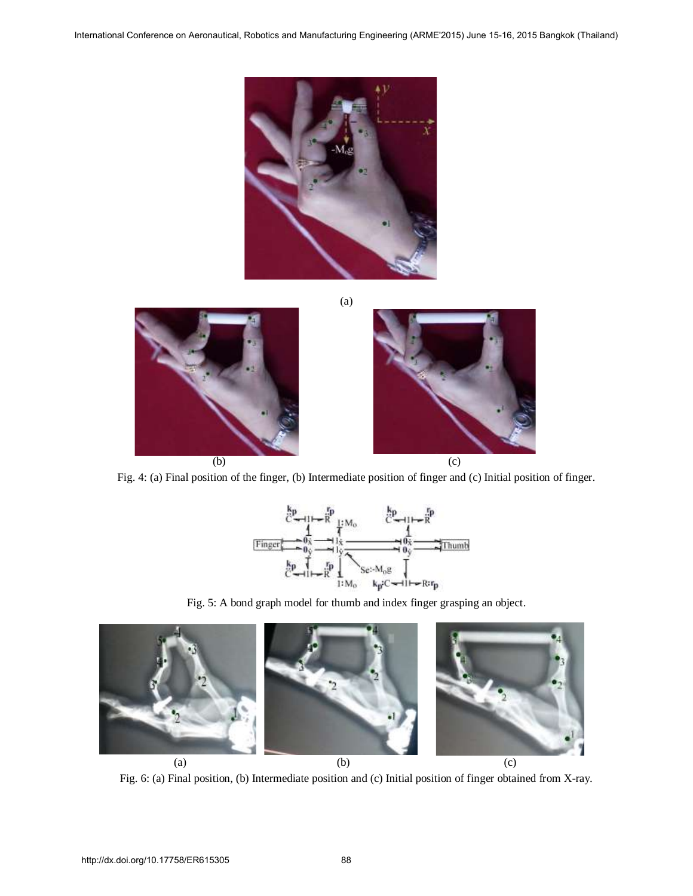



Fig. 4: (a) Final position of the finger, (b) Intermediate position of finger and (c) Initial position of finger.



Fig. 5: A bond graph model for thumb and index finger grasping an object.



Fig. 6: (a) Final position, (b) Intermediate position and (c) Initial position of finger obtained from X-ray.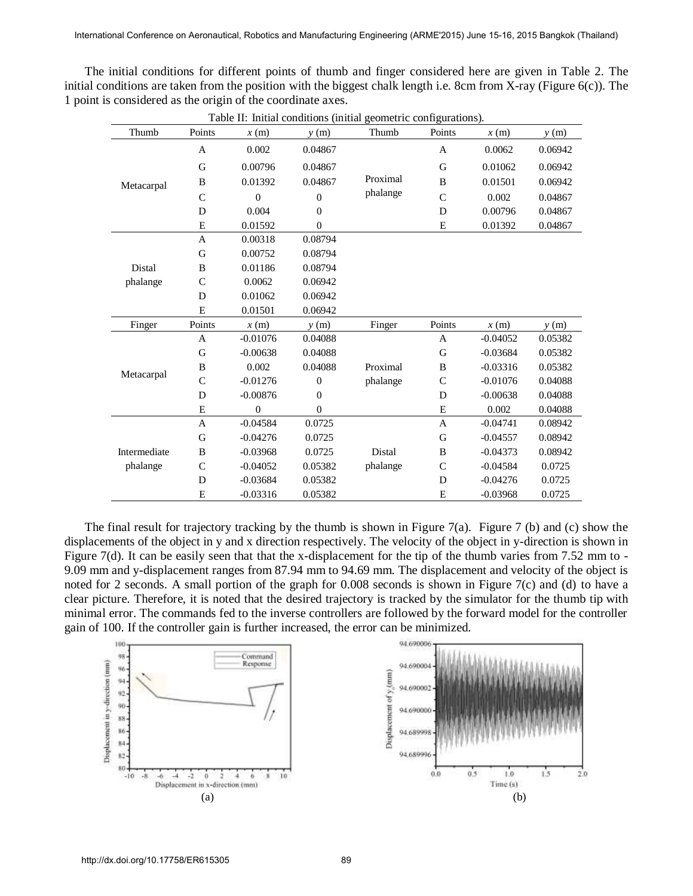The initial conditions for different points of thumb and finger considered here are given in Table 2. The initial conditions are taken from the position with the biggest chalk length i.e. 8cm from X-ray (Figure  $6(c)$ ). The 1 point is considered as the origin of the coordinate axes.

| Thumb                    | Points         | x(m)           | y(m)           | Thumb                | Points        | x(m)       | y(m)    |
|--------------------------|----------------|----------------|----------------|----------------------|---------------|------------|---------|
| Metacarpal               | A              | 0.002          | 0.04867        | Proximal<br>phalange | A             | 0.0062     | 0.06942 |
|                          | G              | 0.00796        | 0.04867        |                      | G             | 0.01062    | 0.06942 |
|                          | B              | 0.01392        | 0.04867        |                      | B             | 0.01501    | 0.06942 |
|                          | $\mathcal{C}$  | $\overline{0}$ | $\overline{0}$ |                      | $\mathcal{C}$ | 0.002      | 0.04867 |
|                          | D              | 0.004          | $\mathbf{0}$   |                      | D             | 0.00796    | 0.04867 |
|                          | E              | 0.01592        | $\mathbf{0}$   |                      | E             | 0.01392    | 0.04867 |
|                          | A              | 0.00318        | 0.08794        |                      |               |            |         |
|                          | G              | 0.00752        | 0.08794        |                      |               |            |         |
| Distal                   | B              | 0.01186        | 0.08794        |                      |               |            |         |
| phalange                 | $\overline{C}$ | 0.0062         | 0.06942        |                      |               |            |         |
|                          | D              | 0.01062        | 0.06942        |                      |               |            |         |
|                          | E              | 0.01501        | 0.06942        |                      |               |            |         |
| Finger                   | Points         | x(m)           | y(m)           | Finger               | Points        | x(m)       | y(m)    |
| Metacarpal               | A              | $-0.01076$     | 0.04088        |                      | A             | $-0.04052$ | 0.05382 |
|                          | G              | $-0.00638$     | 0.04088        |                      | G             | $-0.03684$ | 0.05382 |
|                          | B              | 0.002          | 0.04088        | Proximal             | B             | $-0.03316$ | 0.05382 |
|                          | $\mathcal{C}$  | $-0.01276$     | $\overline{0}$ | phalange             | $\mathsf{C}$  | $-0.01076$ | 0.04088 |
|                          | D              | $-0.00876$     | 0              |                      | D             | $-0.00638$ | 0.04088 |
|                          | E              | $\mathbf{0}$   | $\mathbf{0}$   |                      | E             | 0.002      | 0.04088 |
| Intermediate<br>phalange | A              | $-0.04584$     | 0.0725         |                      | A             | $-0.04741$ | 0.08942 |
|                          | G              | $-0.04276$     | 0.0725         |                      | G             | $-0.04557$ | 0.08942 |
|                          | B              | $-0.03968$     | 0.0725         | Distal               | B             | $-0.04373$ | 0.08942 |
|                          | $\mathsf{C}$   | $-0.04052$     | 0.05382        | phalange             | $\mathsf{C}$  | $-0.04584$ | 0.0725  |
|                          | D              | $-0.03684$     | 0.05382        |                      | D             | $-0.04276$ | 0.0725  |
|                          | E              | $-0.03316$     | 0.05382        |                      | E             | $-0.03968$ | 0.0725  |

Table II: Initial conditions (initial geometric configurations).

The final result for trajectory tracking by the thumb is shown in Figure 7(a). Figure 7 (b) and (c) show the displacements of the object in y and x direction respectively. The velocity of the object in y-direction is shown in Figure 7(d). It can be easily seen that that the x-displacement for the tip of the thumb varies from 7.52 mm to -9.09 mm and y-displacement ranges from 87.94 mm to 94.69 mm. The displacement and velocity of the object is noted for 2 seconds. A small portion of the graph for 0.008 seconds is shown in Figure 7(c) and (d) to have a clear picture. Therefore, it is noted that the desired trajectory is tracked by the simulator for the thumb tip with minimal error. The commands fed to the inverse controllers are followed by the forward model for the controller gain of 100. If the controller gain is further increased, the error can be minimized.

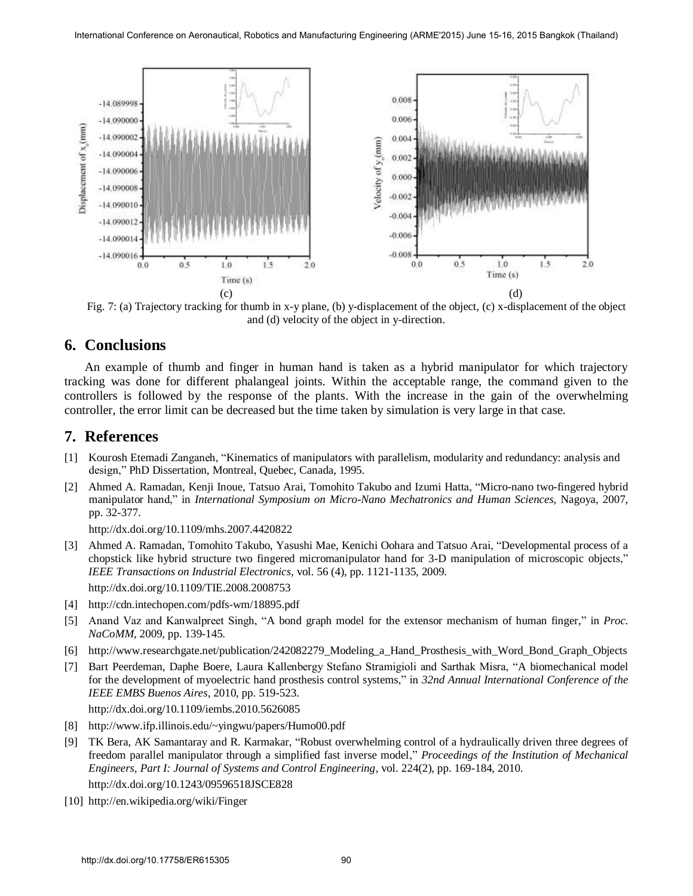

Fig. 7: (a) Trajectory tracking for thumb in x-y plane, (b) y-displacement of the object, (c) x-displacement of the object and (d) velocity of the object in y-direction.

# **6. Conclusions**

An example of thumb and finger in human hand is taken as a hybrid manipulator for which trajectory tracking was done for different phalangeal joints. Within the acceptable range, the command given to the controllers is followed by the response of the plants. With the increase in the gain of the overwhelming controller, the error limit can be decreased but the time taken by simulation is very large in that case.

# **7. References**

- [1] Kourosh Etemadi Zanganeh, "Kinematics of manipulators with parallelism, modularity and redundancy: analysis and design," PhD Dissertation, Montreal, Quebec, Canada, 1995.
- [2] [Ahmed A. Ramadan, Kenji Inoue, Tatsuo Arai, Tomohito Takubo and Izumi Hatta, "Micro-nano two-fingered hybrid](http://dx.doi.org/10.1109/mhs.2007.4420822)  manipulator hand," in *[International Symposium on Micro-Nano Mechatronics and Human Sciences,](http://dx.doi.org/10.1109/mhs.2007.4420822)* Nagoya, 2007, [pp. 32-377.](http://dx.doi.org/10.1109/mhs.2007.4420822)

<http://dx.doi.org/10.1109/mhs.2007.4420822>

[3] [Ahmed A. Ramadan, Tomohito Takubo, Yasushi Mae, Kenichi Oohara and Tatsuo Arai, "Developmental process of a](http://dx.doi.org/10.1109/TIE.2008.2008753)  [chopstick like hybrid structure two fingered micromanipulator hand for 3-D manipulation of microscopic objects,"](http://dx.doi.org/10.1109/TIE.2008.2008753)  *[IEEE Transactions on Industrial Electronics,](http://dx.doi.org/10.1109/TIE.2008.2008753)* vol. 56 (4), pp. 1121-1135, 2009.

<http://dx.doi.org/10.1109/TIE.2008.2008753>

- [4] http://cdn.intechopen.com/pdfs-wm/18895.pdf
- [5] Anand Vaz and Kanwalpreet Singh, "A bond graph model for the extensor mechanism of human finger," in *Proc. NaCoMM*, 2009, pp. 139-145.
- [6] http://www.researchgate.net/publication/242082279\_Modeling\_a\_Hand\_Prosthesis\_with\_Word\_Bond\_Graph\_Objects
- [7] Bart Peerdeman, Daphe [Boere, Laura Kallenbergy Stefano Stramigioli and Sarthak Misra, "A biomechanical model](http://dx.doi.org/10.1109/iembs.2010.5626085)  [for the development of myoelectric hand prosthesis control systems," in](http://dx.doi.org/10.1109/iembs.2010.5626085) *32nd Annual International Conference of the [IEEE EMBS Buenos Aires](http://dx.doi.org/10.1109/iembs.2010.5626085)*, 2010, pp. 519-523. <http://dx.doi.org/10.1109/iembs.2010.5626085>
- [8] http://www.ifp.illinois.edu/~yingwu/papers/Humo00.pdf
- [9] [TK Bera, AK Samantaray and R. Karmakar, "Robust overwhelming control of a hydraulically driven three degrees of](http://dx.doi.org/10.1243/09596518JSCE828)  [freedom parallel manipulator through a simplified fast inverse model,"](http://dx.doi.org/10.1243/09596518JSCE828) *Proceedings of the Institution of Mechanical [Engineers, Part I: Journal of Systems and Control Engineering](http://dx.doi.org/10.1243/09596518JSCE828)*, vol. 224(2), pp. 169-184, 2010.
- <http://dx.doi.org/10.1243/09596518JSCE828>
- [10] http://en.wikipedia.org/wiki/Finger